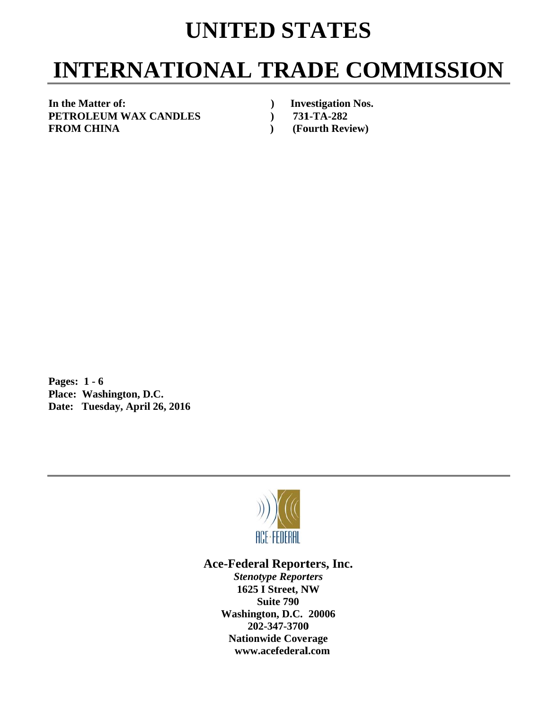## **UNITED STATES**

# **INTERNATIONAL TRADE COMMISSION**

In the Matter of: **PETROLEUM WAX CANDLES F FROM CHI INA** 

*(a)* Investigation Nos. **1251** 131-TA-282 **(Fourth Review)** 

**P Pages: 1 - 6** Pages: 1 - 6<br>Place: Washington, D.C. **Date: Tuesday, April 26, 2016** 



## Ace-Federal Reporters, Inc.

**Stenotype Reporters 1625 I Street, NW Washin gton, D.C. 20006 20 02-347-3700** 202-347-3700<br>Nationwide Coverage **www w.acefederal l.com Suite 790**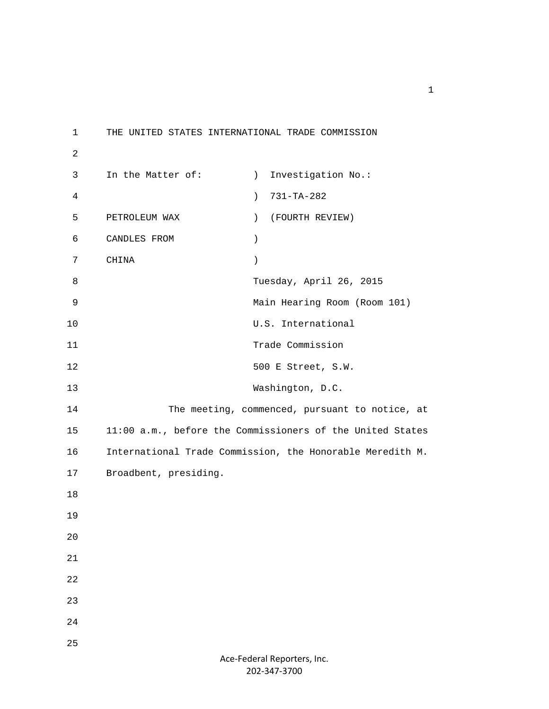1 THE UNITED STATES INTERNATIONAL TRADE COMMISSION 2 3 In the Matter of: (a) Investigation No.: 4 ) 731-TA-282 5 PETROLEUM WAX ) (FOURTH REVIEW) 6 CANDLES FROM ) 7 CHINA ) 8 Tuesday, April 26, 2015 9 Main Hearing Room (Room 101) 10 U.S. International 11 Trade Commission 12 500 E Street, S.W. 13 Washington, D.C. 14 The meeting, commenced, pursuant to notice, at 15 11:00 a.m., before the Commissioners of the United States 16 International Trade Commission, the Honorable Meredith M. 17 Broadbent, presiding. 18 19 20 21 22 23 24 25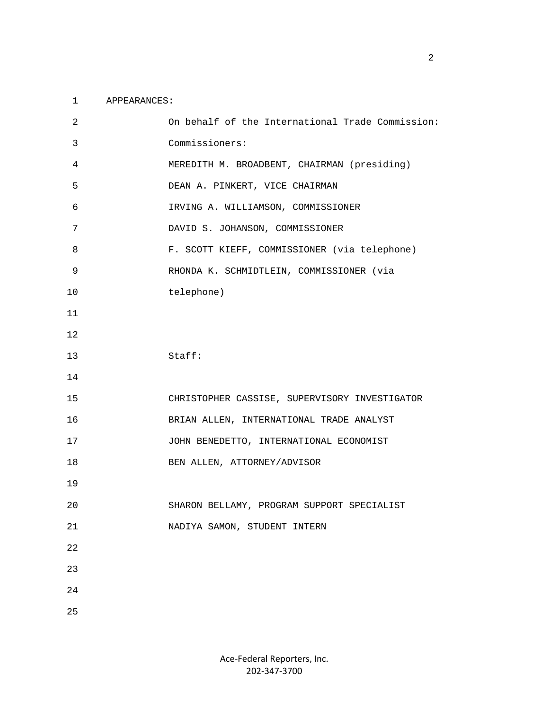#### 1 APPEARANCES:

| 2              | On behalf of the International Trade Commission: |
|----------------|--------------------------------------------------|
| 3              | Commissioners:                                   |
| $\overline{4}$ | MEREDITH M. BROADBENT, CHAIRMAN (presiding)      |
| 5              | DEAN A. PINKERT, VICE CHAIRMAN                   |
| 6              | IRVING A. WILLIAMSON, COMMISSIONER               |
| 7              | DAVID S. JOHANSON, COMMISSIONER                  |
| 8              | F. SCOTT KIEFF, COMMISSIONER (via telephone)     |
| 9              | RHONDA K. SCHMIDTLEIN, COMMISSIONER (via         |
| 10             | telephone)                                       |
| 11             |                                                  |
| 12             |                                                  |
| 13             | Staff:                                           |
| 14             |                                                  |
| 15             | CHRISTOPHER CASSISE, SUPERVISORY INVESTIGATOR    |
| 16             | BRIAN ALLEN, INTERNATIONAL TRADE ANALYST         |
| 17             | JOHN BENEDETTO, INTERNATIONAL ECONOMIST          |
| 18             | BEN ALLEN, ATTORNEY/ADVISOR                      |
| 19             |                                                  |
| 20             | SHARON BELLAMY, PROGRAM SUPPORT SPECIALIST       |
| $21\,$         | NADIYA SAMON, STUDENT INTERN                     |
| 22             |                                                  |
| 23             |                                                  |
| 24             |                                                  |
| 25             |                                                  |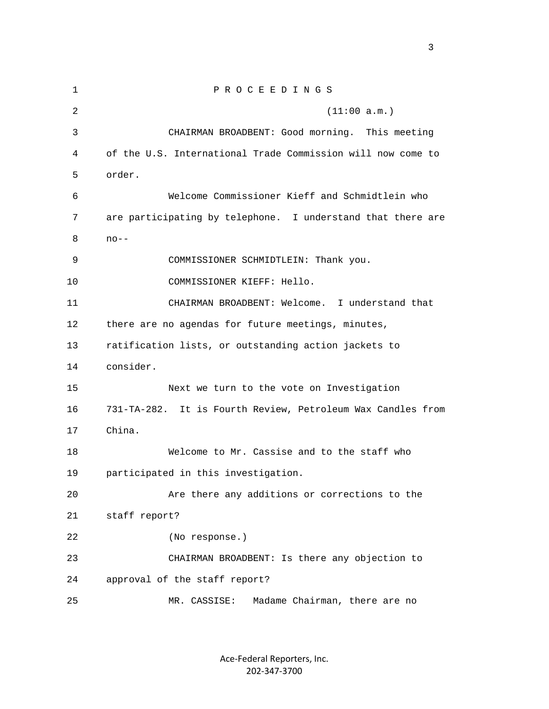1 P R O C E E D I N G S 2 (11:00 a.m.) 3 CHAIRMAN BROADBENT: Good morning. This meeting 4 of the U.S. International Trade Commission will now come to 5 order. 6 Welcome Commissioner Kieff and Schmidtlein who 7 are participating by telephone. I understand that there are 8 no-- 9 COMMISSIONER SCHMIDTLEIN: Thank you. 10 COMMISSIONER KIEFF: Hello. 11 CHAIRMAN BROADBENT: Welcome. I understand that 12 there are no agendas for future meetings, minutes, 13 ratification lists, or outstanding action jackets to 14 consider. 15 Next we turn to the vote on Investigation 16 731-TA-282. It is Fourth Review, Petroleum Wax Candles from 17 China. 18 Welcome to Mr. Cassise and to the staff who 19 participated in this investigation. 20 Are there any additions or corrections to the 21 staff report? 22 (No response.) 23 CHAIRMAN BROADBENT: Is there any objection to 24 approval of the staff report? 25 MR. CASSISE: Madame Chairman, there are no

> Ace‐Federal Reporters, Inc. 202‐347‐3700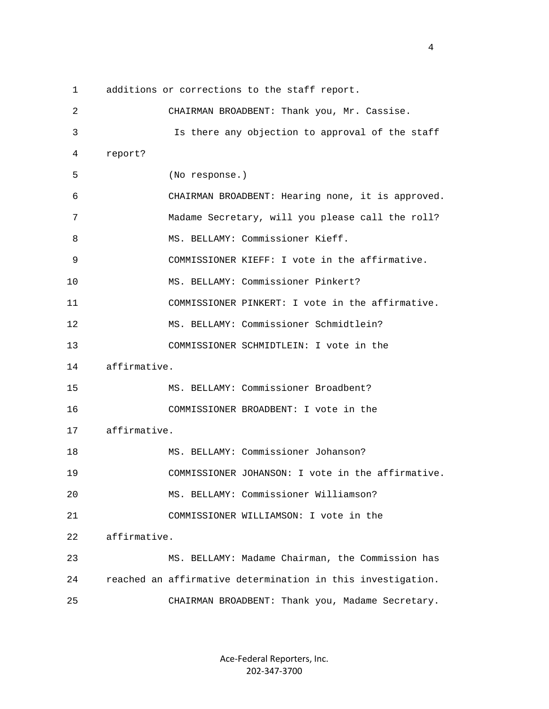1 additions or corrections to the staff report.

 2 CHAIRMAN BROADBENT: Thank you, Mr. Cassise. 3 Is there any objection to approval of the staff 4 report? 5 (No response.) 6 CHAIRMAN BROADBENT: Hearing none, it is approved. 7 Madame Secretary, will you please call the roll? 8 MS. BELLAMY: Commissioner Kieff. 9 COMMISSIONER KIEFF: I vote in the affirmative. 10 MS. BELLAMY: Commissioner Pinkert? 11 COMMISSIONER PINKERT: I vote in the affirmative. 12 MS. BELLAMY: Commissioner Schmidtlein? 13 COMMISSIONER SCHMIDTLEIN: I vote in the 14 affirmative. 15 MS. BELLAMY: Commissioner Broadbent? 16 COMMISSIONER BROADBENT: I vote in the 17 affirmative. 18 MS. BELLAMY: Commissioner Johanson? 19 COMMISSIONER JOHANSON: I vote in the affirmative. 20 MS. BELLAMY: Commissioner Williamson? 21 COMMISSIONER WILLIAMSON: I vote in the 22 affirmative. 23 MS. BELLAMY: Madame Chairman, the Commission has 24 reached an affirmative determination in this investigation. 25 CHAIRMAN BROADBENT: Thank you, Madame Secretary.

> Ace‐Federal Reporters, Inc. 202‐347‐3700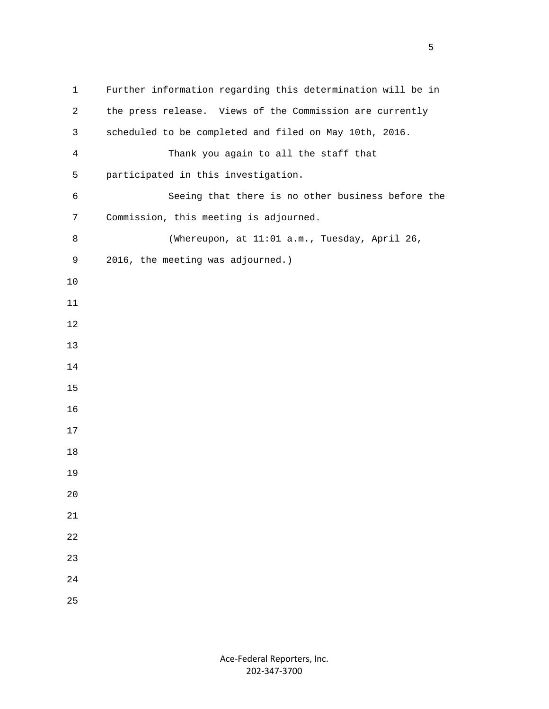| $\mathbf{1}$   | Further information regarding this determination will be in |
|----------------|-------------------------------------------------------------|
| $\overline{2}$ | the press release. Views of the Commission are currently    |
| 3              | scheduled to be completed and filed on May 10th, 2016.      |
| $\overline{4}$ | Thank you again to all the staff that                       |
| 5              | participated in this investigation.                         |
| 6              | Seeing that there is no other business before the           |
| 7              | Commission, this meeting is adjourned.                      |
| 8              | (Whereupon, at 11:01 a.m., Tuesday, April 26,               |
| 9              | 2016, the meeting was adjourned.)                           |
| 10             |                                                             |
| 11             |                                                             |
| 12             |                                                             |
| 13             |                                                             |
| 14             |                                                             |
| 15             |                                                             |
| 16             |                                                             |
| 17             |                                                             |
| 18             |                                                             |
| 19             |                                                             |
| 20             |                                                             |
| 21             |                                                             |
| 22             |                                                             |
| 23             |                                                             |
| 24             |                                                             |
| 25             |                                                             |